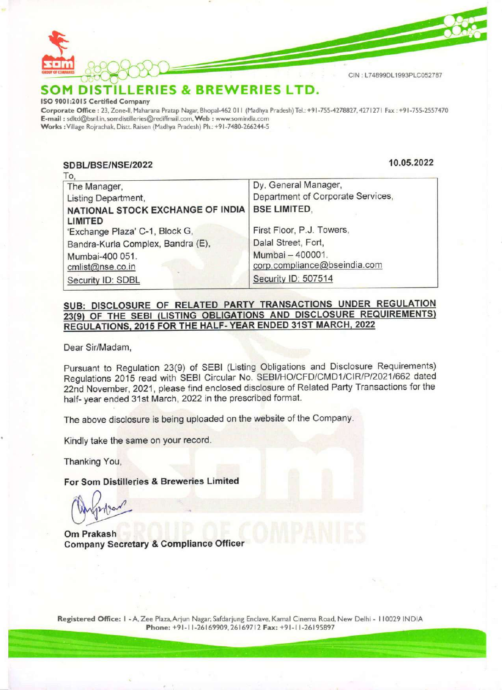

## SOM DISTILLERIES & BREWERIES LTD.

ISO 9001:2015 Certified Company

Corporate Office : 23, Zone-ll, Maharana Pratap Nagar, Bhopal-462 011 (Madhya Pradesh) Tel.: +9 |-755-4278827, 4271271 Fax : +91-755-2557470 E-mail : sditd@bsnl.in, somdistilleries@rediffmail.com, Web : www.somindia.com Works : Village Rojrachak, Distt. Raisen (Madhya Pradesh) Ph.: +91 -7480-266244-5

SDBL/BSE/NSE/2022 CIN:LT4899DL1993PLC0527E<br>
MINISTILLERIES & BREWERIES LTD.<br>
01:2015 Certified Company<br>
at a Cince: 137.460-mpany<br>
11:2015 Certified Company<br>
12:30 SDBL/BSE/NSE/2022<br>
10.05.2022<br>
To,<br>
10.05.2022<br>
To, 10.05.2022 The Manager, Listing Department, NATIONAL STOCK EXCHANGE OF INDIA LIMITED 'Exchange Plaza' C-1, Block G, Bandra-Kurla Complex, Bandra (E), Mumbai-400 051. cmlist@nse.co.in Security ID: SDBL Dy. General Manager, Department of Corporate Services, BSE LIMITED, First Floor, P.J. Towers, Dalal Street, Fort, Mumbai — 400001. corp.compliance@bseindia.com **MDISTILLERIES & BREWE**<br>
The Office : 23, Zone II, Maharana Pratap Nagar, Bhopal-462 011 (b)<br>
01:2015 Certifical Company<br>
ate Office : 23, Zone II, Maharana Pratap Nagar, Bhopal-462 011 (b)<br>
: sdtd@bsnl.in, sondistilleries Security ID: 507514

## SUB: DISCLOSURE OF RELATED PARTY TRANSACTIONS UNDER REGULATION 23(9) OF THE SEBI (LISTING OBLIGATIONS AND DISCLOSURE REQUIREMENTS) REGULATIONS, 2015 FOR THE HALF- YEAR ENDED 31ST MARCH, 2022

Dear Sir/Madam,

Pursuant to Regulation 23(9) of SEBI (Listing Obligations and Disclosure Requirements) Regulations 2015 read with SEBI Circular No. SEBI/HO/CFD/CMD1/CIR/P/2021/662 dated 22nd November, 2021, please find enclosed disclosure of Related Party Transactions for the half- year ended 31st March, 2022 in the prescribed format.

The above disclosure is being uploaded on the website of the Company.

Kindly take the same on your record.

Thanking You,

For Som Distilleries & Breweries Limited

Om Prakash Company Secretary & Compliance Officer

Registered Office: | - A, Zee Plaza, Arjun Nagar, Safdarjung Enclave, Kamal Cinema Road, New Delhi - 110029 INDIA Registered Office: I - A, Zee Plaza, Arjun Nagar, Safdarjung Enclave, Kamal Cinema Road, New Delhi - 110029 INDIA<br>Phone: +91-11-26169909, 26169712 Fax: +91-11-26195897